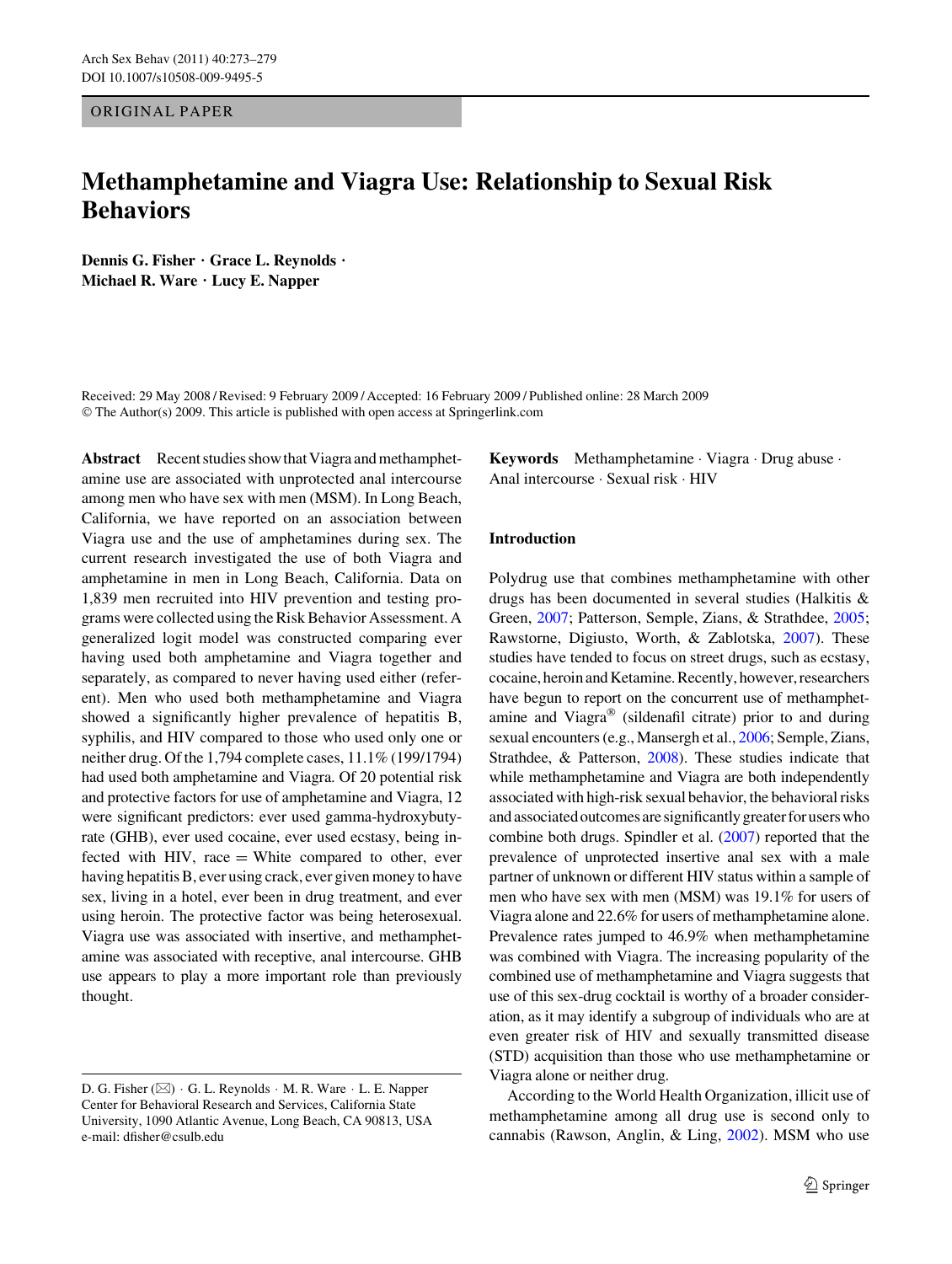ORIGINAL PAPER

# Methamphetamine and Viagra Use: Relationship to Sexual Risk Behaviors

Dennis G. Fisher  $\cdot$  Grace L. Reynolds  $\cdot$ Michael R. Ware  $\cdot$  Lucy E. Napper

Received: 29 May 2008 / Revised: 9 February 2009 / Accepted: 16 February 2009 / Published online: 28 March 2009 © The Author(s) 2009. This article is published with open access at Springerlink.com

Abstract Recent studies show that Viagra and methamphetamine use are associated with unprotected anal intercourse among men who have sex with men (MSM). In Long Beach, California, we have reported on an association between Viagra use and the use of amphetamines during sex. The current research investigated the use of both Viagra and amphetamine in men in Long Beach, California. Data on 1,839 men recruited into HIV prevention and testing programs were collected using the Risk Behavior Assessment. A generalized logit model was constructed comparing ever having used both amphetamine and Viagra together and separately, as compared to never having used either (referent). Men who used both methamphetamine and Viagra showed a significantly higher prevalence of hepatitis B, syphilis, and HIV compared to those who used only one or neither drug. Of the 1,794 complete cases, 11.1% (199/1794) had used both amphetamine and Viagra. Of 20 potential risk and protective factors for use of amphetamine and Viagra, 12 were significant predictors: ever used gamma-hydroxybutyrate (GHB), ever used cocaine, ever used ecstasy, being infected with HIV, race  $=$  White compared to other, ever having hepatitis B, ever using crack, ever given money to have sex, living in a hotel, ever been in drug treatment, and ever using heroin. The protective factor was being heterosexual. Viagra use was associated with insertive, and methamphetamine was associated with receptive, anal intercourse. GHB use appears to play a more important role than previously thought.

Keywords Methamphetamine · Viagra · Drug abuse · Anal intercourse - Sexual risk - HIV

#### Introduction

Polydrug use that combines methamphetamine with other drugs has been documented in several studies (Halkitis & Green, [2007;](#page-5-0) Patterson, Semple, Zians, & Strathdee, [2005](#page-5-0); Rawstorne, Digiusto, Worth, & Zablotska, [2007](#page-5-0)). These studies have tended to focus on street drugs, such as ecstasy, cocaine, heroinand Ketamine. Recently, however, researchers have begun to report on the concurrent use of methamphetamine and Viagra $^{\circ\circ}$  (sildenafil citrate) prior to and during sexual encounters (e.g., Mansergh et al., [2006;](#page-5-0) Semple, Zians, Strathdee, & Patterson, [2008\)](#page-6-0). These studies indicate that while methamphetamine and Viagra are both independently associated with high-risk sexual behavior, the behavioral risks and associated outcomes are significantly greater for users who combine both drugs. Spindler et al. ([2007](#page-6-0)) reported that the prevalence of unprotected insertive anal sex with a male partner of unknown or different HIV status within a sample of men who have sex with men (MSM) was 19.1% for users of Viagra alone and 22.6% for users of methamphetamine alone. Prevalence rates jumped to 46.9% when methamphetamine was combined with Viagra. The increasing popularity of the combined use of methamphetamine and Viagra suggests that use of this sex-drug cocktail is worthy of a broader consideration, as it may identify a subgroup of individuals who are at even greater risk of HIV and sexually transmitted disease (STD) acquisition than those who use methamphetamine or Viagra alone or neither drug.

According to the World Health Organization, illicit use of methamphetamine among all drug use is second only to cannabis (Rawson, Anglin, & Ling, [2002\)](#page-5-0). MSM who use

D. G. Fisher (⊠) · G. L. Reynolds · M. R. Ware · L. E. Napper Center for Behavioral Research and Services, California State University, 1090 Atlantic Avenue, Long Beach, CA 90813, USA e-mail: dfisher@csulb.edu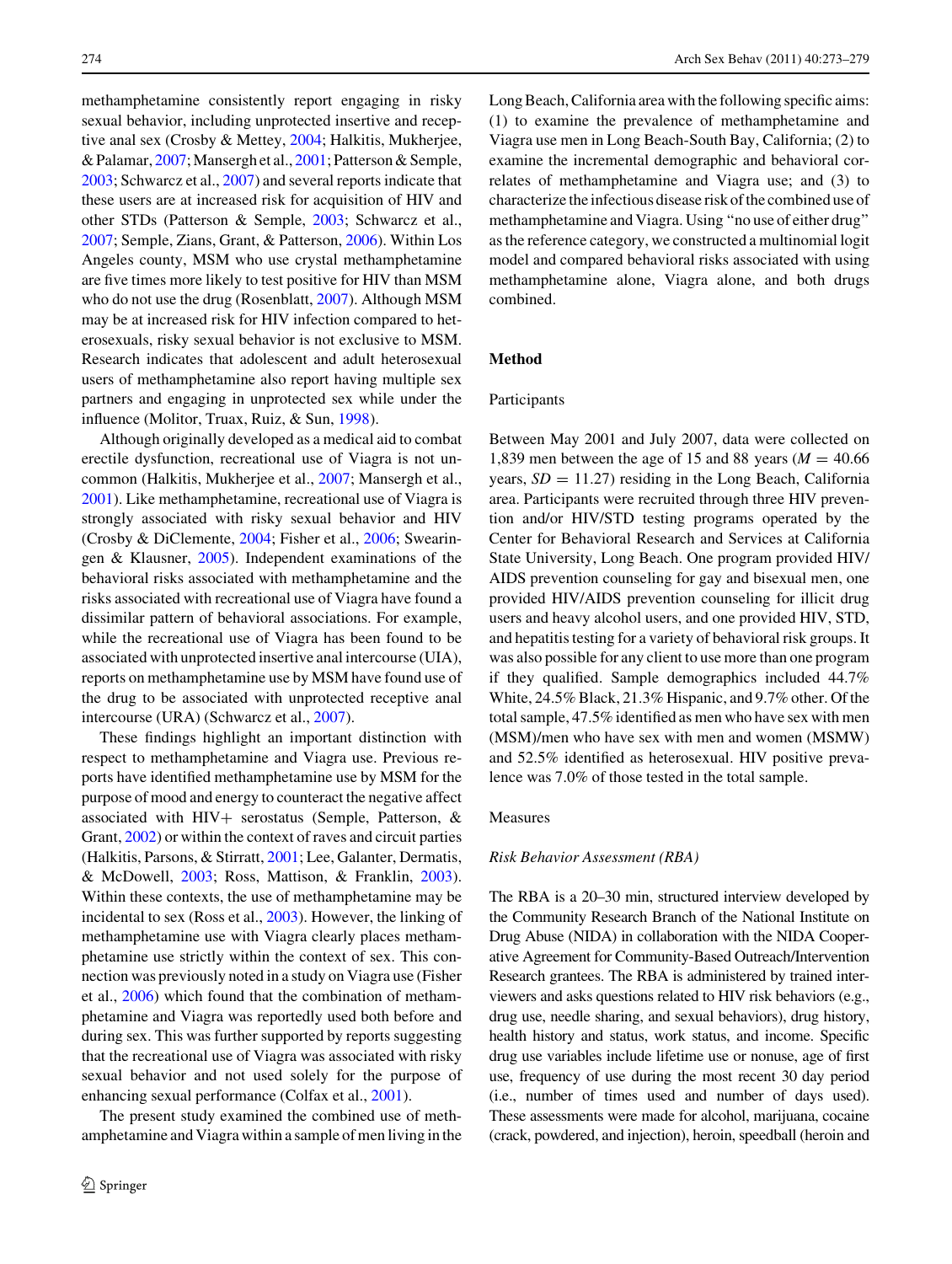methamphetamine consistently report engaging in risky sexual behavior, including unprotected insertive and receptive anal sex (Crosby & Mettey, [2004](#page-5-0); Halkitis, Mukherjee, & Palamar, [2007;](#page-5-0) Mansergh et al., [2001;](#page-5-0) Patterson & Semple, [2003;](#page-5-0) Schwarcz et al., [2007](#page-5-0)) and several reports indicate that these users are at increased risk for acquisition of HIV and other STDs (Patterson & Semple, [2003;](#page-5-0) Schwarcz et al., [2007;](#page-5-0) Semple, Zians, Grant, & Patterson, [2006](#page-6-0)). Within Los Angeles county, MSM who use crystal methamphetamine are five times more likely to test positive for HIV than MSM who do not use the drug (Rosenblatt, [2007](#page-5-0)). Although MSM may be at increased risk for HIV infection compared to heterosexuals, risky sexual behavior is not exclusive to MSM. Research indicates that adolescent and adult heterosexual users of methamphetamine also report having multiple sex partners and engaging in unprotected sex while under the influence (Molitor, Truax, Ruiz, & Sun, [1998](#page-5-0)).

Although originally developed as a medical aid to combat erectile dysfunction, recreational use of Viagra is not uncommon (Halkitis, Mukherjee et al., [2007](#page-5-0); Mansergh et al., [2001\)](#page-5-0). Like methamphetamine, recreational use of Viagra is strongly associated with risky sexual behavior and HIV (Crosby & DiClemente, [2004;](#page-5-0) Fisher et al., [2006;](#page-5-0) Swearingen & Klausner, [2005\)](#page-6-0). Independent examinations of the behavioral risks associated with methamphetamine and the risks associated with recreational use of Viagra have found a dissimilar pattern of behavioral associations. For example, while the recreational use of Viagra has been found to be associated with unprotected insertive anal intercourse (UIA), reports on methamphetamine use by MSM have found use of the drug to be associated with unprotected receptive anal intercourse (URA) (Schwarcz et al., [2007](#page-5-0)).

These findings highlight an important distinction with respect to methamphetamine and Viagra use. Previous reports have identified methamphetamine use by MSM for the purpose of mood and energy to counteract the negative affect associated with HIV+ serostatus (Semple, Patterson,  $\&$ Grant, [2002](#page-6-0)) or within the context of raves and circuit parties (Halkitis, Parsons, & Stirratt, [2001](#page-5-0); Lee, Galanter, Dermatis, & McDowell, [2003](#page-5-0); Ross, Mattison, & Franklin, [2003](#page-5-0)). Within these contexts, the use of methamphetamine may be incidental to sex (Ross et al., [2003\)](#page-5-0). However, the linking of methamphetamine use with Viagra clearly places methamphetamine use strictly within the context of sex. This connection was previously noted in a study on Viagra use (Fisher et al., [2006](#page-5-0)) which found that the combination of methamphetamine and Viagra was reportedly used both before and during sex. This was further supported by reports suggesting that the recreational use of Viagra was associated with risky sexual behavior and not used solely for the purpose of enhancing sexual performance (Colfax et al., [2001](#page-5-0)).

The present study examined the combined use of methamphetamine and Viagra within a sample of men living in the Long Beach, California area with the following specific aims: (1) to examine the prevalence of methamphetamine and Viagra use men in Long Beach-South Bay, California; (2) to examine the incremental demographic and behavioral correlates of methamphetamine and Viagra use; and (3) to characterize the infectious disease risk of the combined use of methamphetamine and Viagra. Using ''no use of either drug'' as the reference category, we constructed a multinomial logit model and compared behavioral risks associated with using methamphetamine alone, Viagra alone, and both drugs combined.

# Method

# Participants

Between May 2001 and July 2007, data were collected on 1,839 men between the age of 15 and 88 years ( $M = 40.66$ ) years,  $SD = 11.27$ ) residing in the Long Beach, California area. Participants were recruited through three HIV prevention and/or HIV/STD testing programs operated by the Center for Behavioral Research and Services at California State University, Long Beach. One program provided HIV/ AIDS prevention counseling for gay and bisexual men, one provided HIV/AIDS prevention counseling for illicit drug users and heavy alcohol users, and one provided HIV, STD, and hepatitis testing for a variety of behavioral risk groups. It was also possible for any client to use more than one program if they qualified. Sample demographics included 44.7% White, 24.5% Black, 21.3% Hispanic, and 9.7% other. Of the total sample, 47.5% identified as men who have sex with men (MSM)/men who have sex with men and women (MSMW) and 52.5% identified as heterosexual. HIV positive prevalence was 7.0% of those tested in the total sample.

#### Measures

#### Risk Behavior Assessment (RBA)

The RBA is a 20–30 min, structured interview developed by the Community Research Branch of the National Institute on Drug Abuse (NIDA) in collaboration with the NIDA Cooperative Agreement for Community-Based Outreach/Intervention Research grantees. The RBA is administered by trained interviewers and asks questions related to HIV risk behaviors (e.g., drug use, needle sharing, and sexual behaviors), drug history, health history and status, work status, and income. Specific drug use variables include lifetime use or nonuse, age of first use, frequency of use during the most recent 30 day period (i.e., number of times used and number of days used). These assessments were made for alcohol, marijuana, cocaine (crack, powdered, and injection), heroin, speedball (heroin and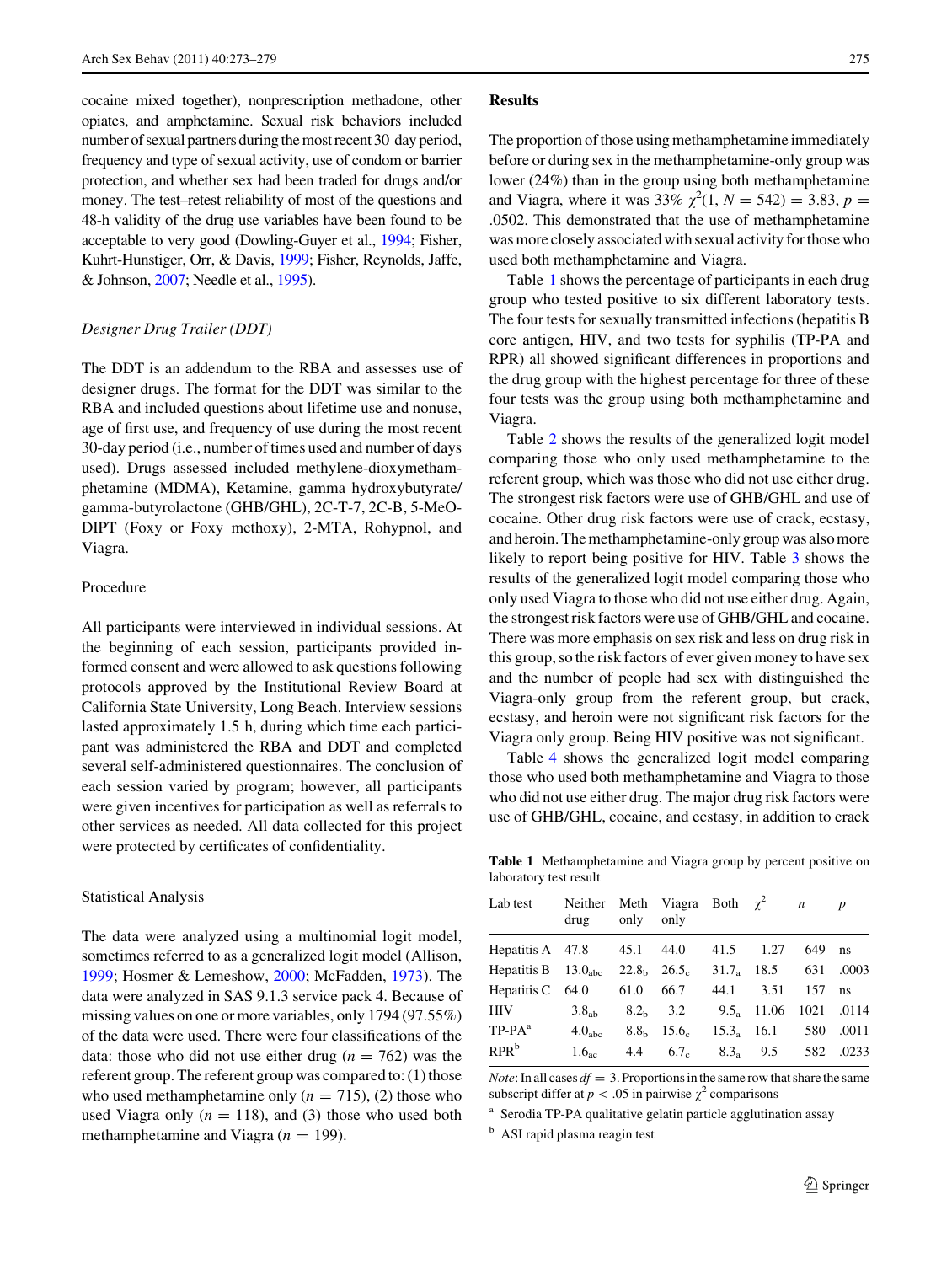cocaine mixed together), nonprescription methadone, other opiates, and amphetamine. Sexual risk behaviors included number of sexual partners during the most recent 30 day period, frequency and type of sexual activity, use of condom or barrier protection, and whether sex had been traded for drugs and/or money. The test–retest reliability of most of the questions and 48-h validity of the drug use variables have been found to be acceptable to very good (Dowling-Guyer et al., [1994](#page-5-0); Fisher, Kuhrt-Hunstiger, Orr, & Davis, [1999](#page-5-0); Fisher, Reynolds, Jaffe, & Johnson, [2007;](#page-5-0) Needle et al., [1995](#page-5-0)).

## Designer Drug Trailer (DDT)

The DDT is an addendum to the RBA and assesses use of designer drugs. The format for the DDT was similar to the RBA and included questions about lifetime use and nonuse, age of first use, and frequency of use during the most recent 30-day period (i.e., number of times used and number of days used). Drugs assessed included methylene-dioxymethamphetamine (MDMA), Ketamine, gamma hydroxybutyrate/ gamma-butyrolactone (GHB/GHL), 2C-T-7, 2C-B, 5-MeO-DIPT (Foxy or Foxy methoxy), 2-MTA, Rohypnol, and Viagra.

#### Procedure

All participants were interviewed in individual sessions. At the beginning of each session, participants provided informed consent and were allowed to ask questions following protocols approved by the Institutional Review Board at California State University, Long Beach. Interview sessions lasted approximately 1.5 h, during which time each participant was administered the RBA and DDT and completed several self-administered questionnaires. The conclusion of each session varied by program; however, all participants were given incentives for participation as well as referrals to other services as needed. All data collected for this project were protected by certificates of confidentiality.

### Statistical Analysis

The data were analyzed using a multinomial logit model, sometimes referred to as a generalized logit model (Allison, [1999;](#page-5-0) Hosmer & Lemeshow, [2000](#page-5-0); McFadden, [1973\)](#page-5-0). The data were analyzed in SAS 9.1.3 service pack 4. Because of missing values on one or more variables, only 1794 (97.55%) of the data were used. There were four classifications of the data: those who did not use either drug ( $n = 762$ ) was the referent group. The referent group was compared to: (1) those who used methamphetamine only ( $n = 715$ ), (2) those who used Viagra only ( $n = 118$ ), and (3) those who used both methamphetamine and Viagra ( $n = 199$ ).

#### Results

The proportion of those using methamphetamine immediately before or during sex in the methamphetamine-only group was lower (24%) than in the group using both methamphetamine and Viagra, where it was 33%  $\chi^2(1, N = 542) = 3.83$ ,  $p =$ .0502. This demonstrated that the use of methamphetamine was more closely associated with sexual activity for those who used both methamphetamine and Viagra.

Table 1 shows the percentage of participants in each drug group who tested positive to six different laboratory tests. The four tests for sexually transmitted infections (hepatitis B core antigen, HIV, and two tests for syphilis (TP-PA and RPR) all showed significant differences in proportions and the drug group with the highest percentage for three of these four tests was the group using both methamphetamine and Viagra.

Table [2](#page-3-0) shows the results of the generalized logit model comparing those who only used methamphetamine to the referent group, which was those who did not use either drug. The strongest risk factors were use of GHB/GHL and use of cocaine. Other drug risk factors were use of crack, ecstasy, and heroin. The methamphetamine-only group was also more likely to report being positive for HIV. Table [3](#page-3-0) shows the results of the generalized logit model comparing those who only used Viagra to those who did not use either drug. Again, the strongest risk factors were use of GHB/GHL and cocaine. There was more emphasis on sex risk and less on drug risk in this group, so the risk factors of ever given money to have sex and the number of people had sex with distinguished the Viagra-only group from the referent group, but crack, ecstasy, and heroin were not significant risk factors for the Viagra only group. Being HIV positive was not significant.

Table [4](#page-3-0) shows the generalized logit model comparing those who used both methamphetamine and Viagra to those who did not use either drug. The major drug risk factors were use of GHB/GHL, cocaine, and ecstasy, in addition to crack

Table 1 Methamphetamine and Viagra group by percent positive on laboratory test result

| Lab test                  | Neither Meth Viagra Both $\chi^2$<br>drug | only             | only                      |      |                     | $\overline{n}$ | $\boldsymbol{p}$ |
|---------------------------|-------------------------------------------|------------------|---------------------------|------|---------------------|----------------|------------------|
| Hepatitis A $47.8$ $45.1$ |                                           |                  | 44.0                      |      | 41.5 1.27           | 649            | ns               |
| Hepatitis B $13.0_{abc}$  |                                           |                  | $22.8b$ $26.5c$           |      | $31.7a$ 18.5        |                | 631 .0003        |
| Hepatitis $C$ 64.0        |                                           | 61.0             | 66.7                      | 44.1 | 3.51                | 157            | ns               |
| <b>HIV</b>                | 3.8 <sub>ab</sub>                         |                  | $8.2b$ 3.2                |      | $9.5_{\rm a}$ 11.06 |                | 1021 .0114       |
| $TP-PA^a$                 | $4.0_{abc}$                               | 8.8 <sub>b</sub> | $15.6_c$                  |      | $15.3a$ 16.1        | 580            | .0011            |
| RPR <sup>b</sup>          | $1.6_{\rm ac}$                            |                  | 4.4 $6.7_c$ $8.3_a$ $9.5$ |      |                     |                | 582 .0233        |
|                           |                                           |                  |                           |      |                     |                |                  |

*Note*: In all cases  $df = 3$ . Proportions in the same row that share the same subscript differ at  $p < .05$  in pairwise  $\chi^2$  comparisons

<sup>a</sup> Serodia TP-PA qualitative gelatin particle agglutination assay

**b** ASI rapid plasma reagin test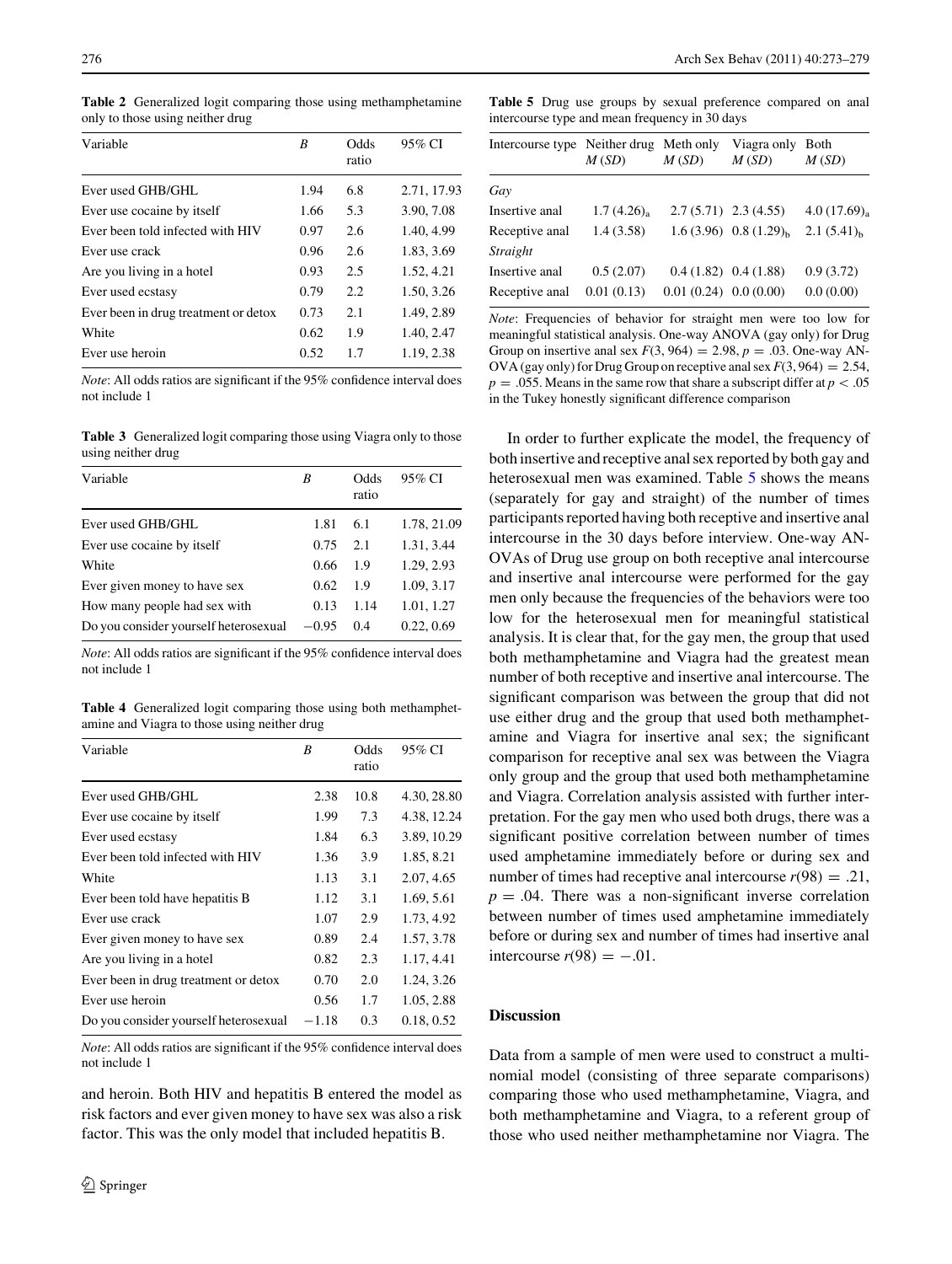<span id="page-3-0"></span>Table 2 Generalized logit comparing those using methamphetamine only to those using neither drug

| Variable                             | B    | Odds<br>ratio | 95% CI      |
|--------------------------------------|------|---------------|-------------|
| Ever used GHB/GHL                    | 1.94 | 6.8           | 2.71, 17.93 |
| Ever use cocaine by itself           | 1.66 | 5.3           | 3.90, 7.08  |
| Ever been told infected with HIV     | 0.97 | 2.6           | 1.40, 4.99  |
| Ever use crack                       | 0.96 | 2.6           | 1.83, 3.69  |
| Are you living in a hotel            | 0.93 | 2.5           | 1.52, 4.21  |
| Ever used ecstasy                    | 0.79 | 2.2           | 1.50, 3.26  |
| Ever been in drug treatment or detox | 0.73 | 2.1           | 1.49.2.89   |
| White                                | 0.62 | 1.9           | 1.40, 2.47  |
| Ever use heroin                      | 0.52 | 1.7           | 1.19, 2.38  |

Note: All odds ratios are significant if the 95% confidence interval does not include 1

Table 3 Generalized logit comparing those using Viagra only to those using neither drug

| Variable                              | B       | Odds<br>ratio | 95% CI      |
|---------------------------------------|---------|---------------|-------------|
| Ever used GHB/GHL                     | 1.81    | 6.1           | 1.78, 21.09 |
| Ever use cocaine by itself            | 0.75    | 2.1           | 1.31, 3.44  |
| White                                 | 0.66    | 1.9           | 1.29, 2.93  |
| Ever given money to have sex          | 0.62    | 1.9           | 1.09, 3.17  |
| How many people had sex with          | 0.13    | 1.14          | 1.01, 1.27  |
| Do you consider yourself heterosexual | $-0.95$ | 0.4           | 0.22, 0.69  |

Note: All odds ratios are significant if the 95% confidence interval does not include 1

Table 4 Generalized logit comparing those using both methamphetamine and Viagra to those using neither drug

| Variable                              | B       | Odds<br>ratio | 95% CI      |
|---------------------------------------|---------|---------------|-------------|
| Ever used GHB/GHL                     | 2.38    | 10.8          | 4.30, 28.80 |
| Ever use cocaine by itself            | 1.99    | 7.3           | 4.38, 12.24 |
| Ever used ecstasy                     | 1.84    | 6.3           | 3.89, 10.29 |
| Ever been told infected with HIV      | 1.36    | 3.9           | 1.85, 8.21  |
| White                                 | 1.13    | 3.1           | 2.07, 4.65  |
| Ever been told have hepatitis B       | 1.12    | 3.1           | 1.69, 5.61  |
| Ever use crack                        | 1.07    | 2.9           | 1.73, 4.92  |
| Ever given money to have sex          | 0.89    | 2.4           | 1.57, 3.78  |
| Are you living in a hotel             | 0.82    | 2.3           | 1.17, 4.41  |
| Ever been in drug treatment or detox  | 0.70    | 2.0           | 1.24, 3.26  |
| Ever use heroin                       | 0.56    | 1.7           | 1.05, 2.88  |
| Do you consider yourself heterosexual | $-1.18$ | 0.3           | 0.18, 0.52  |

Note: All odds ratios are significant if the 95% confidence interval does not include 1

and heroin. Both HIV and hepatitis B entered the model as risk factors and ever given money to have sex was also a risk factor. This was the only model that included hepatitis B.

Table 5 Drug use groups by sexual preference compared on anal intercourse type and mean frequency in 30 days

| Intercourse type Neither drug Meth only |            |                          | Viagra only                          | Both                      |  |
|-----------------------------------------|------------|--------------------------|--------------------------------------|---------------------------|--|
|                                         | M(SD)      | M(SD)                    | M(SD)                                | M(SD)                     |  |
| Gay                                     |            |                          |                                      |                           |  |
| Insertive anal                          | 1.7(4.26)  | $2.7(5.71)$ $2.3(4.55)$  |                                      | $4.0(17.69)$ <sub>2</sub> |  |
| Receptive anal                          | 1.4(3.58)  |                          | $1.6(3.96)$ $0.8(1.29)$ <sub>h</sub> | $2.1(5.41)_{h}$           |  |
| Straight                                |            |                          |                                      |                           |  |
| Insertive anal                          | 0.5(2.07)  |                          | $0.4(1.82)$ $0.4(1.88)$              | 0.9(3.72)                 |  |
| Receptive anal                          | 0.01(0.13) | $0.01(0.24)$ $0.0(0.00)$ |                                      | 0.0(0.00)                 |  |

Note: Frequencies of behavior for straight men were too low for meaningful statistical analysis. One-way ANOVA (gay only) for Drug Group on insertive anal sex  $F(3, 964) = 2.98$ ,  $p = .03$ . One-way AN-OVA (gay only) for Drug Group on receptive anal sex  $F(3, 964) = 2.54$ ,  $p = 0.055$ . Means in the same row that share a subscript differ at  $p < 0.05$ in the Tukey honestly significant difference comparison

In order to further explicate the model, the frequency of both insertive and receptive anal sex reported by both gay and heterosexual men was examined. Table 5 shows the means (separately for gay and straight) of the number of times participants reported having both receptive and insertive anal intercourse in the 30 days before interview. One-way AN-OVAs of Drug use group on both receptive anal intercourse and insertive anal intercourse were performed for the gay men only because the frequencies of the behaviors were too low for the heterosexual men for meaningful statistical analysis. It is clear that, for the gay men, the group that used both methamphetamine and Viagra had the greatest mean number of both receptive and insertive anal intercourse. The significant comparison was between the group that did not use either drug and the group that used both methamphetamine and Viagra for insertive anal sex; the significant comparison for receptive anal sex was between the Viagra only group and the group that used both methamphetamine and Viagra. Correlation analysis assisted with further interpretation. For the gay men who used both drugs, there was a significant positive correlation between number of times used amphetamine immediately before or during sex and number of times had receptive anal intercourse  $r(98) = .21$ ,  $p = .04$ . There was a non-significant inverse correlation between number of times used amphetamine immediately before or during sex and number of times had insertive anal intercourse  $r(98) = -.01$ .

# **Discussion**

Data from a sample of men were used to construct a multinomial model (consisting of three separate comparisons) comparing those who used methamphetamine, Viagra, and both methamphetamine and Viagra, to a referent group of those who used neither methamphetamine nor Viagra. The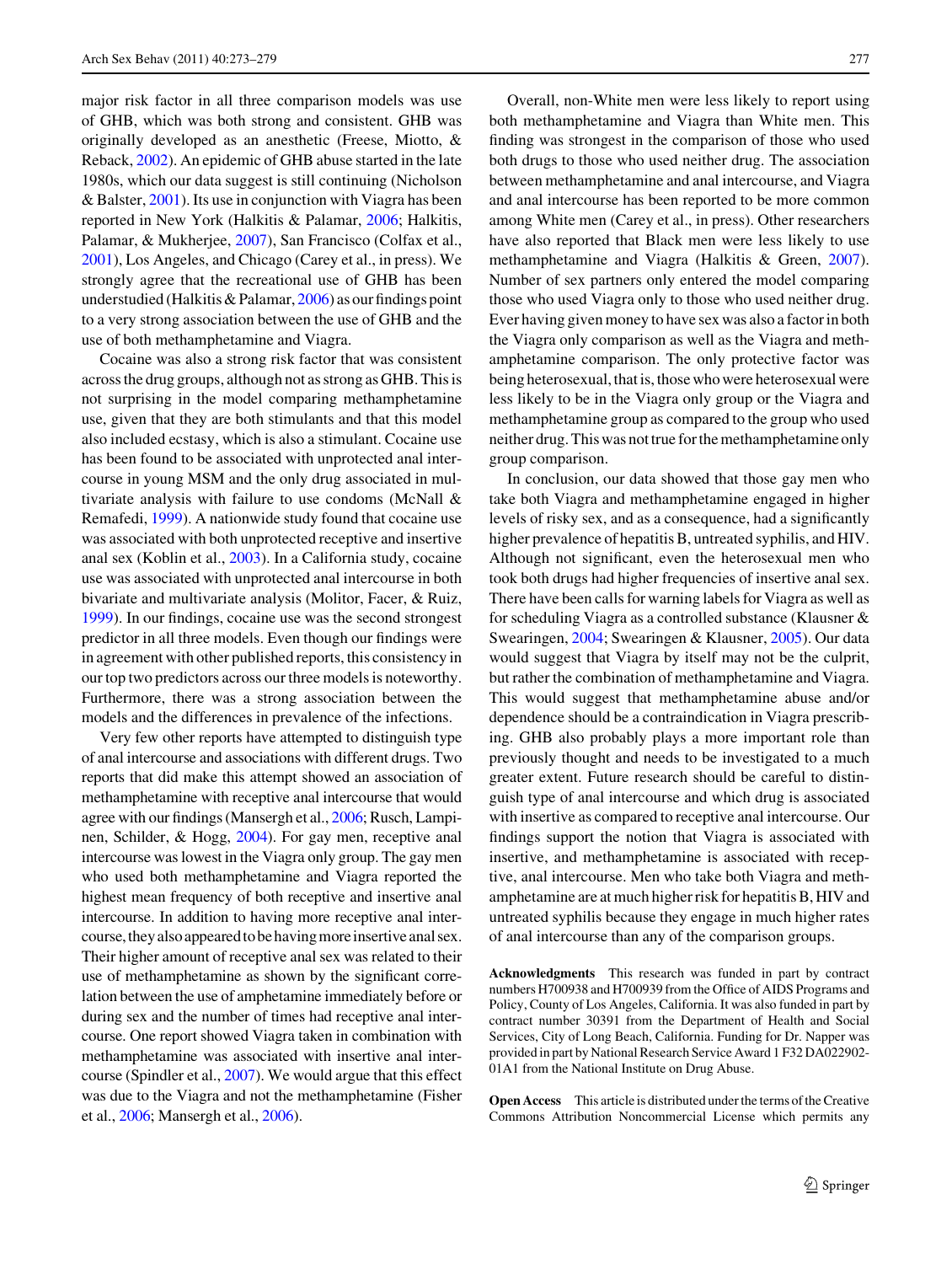major risk factor in all three comparison models was use of GHB, which was both strong and consistent. GHB was originally developed as an anesthetic (Freese, Miotto, & Reback, [2002](#page-5-0)). An epidemic of GHB abuse started in the late 1980s, which our data suggest is still continuing (Nicholson & Balster, [2001](#page-5-0)). Its use in conjunction with Viagra has been reported in New York (Halkitis & Palamar, [2006](#page-5-0); Halkitis, Palamar, & Mukherjee, [2007](#page-5-0)), San Francisco (Colfax et al., [2001\)](#page-5-0), Los Angeles, and Chicago (Carey et al., in press). We strongly agree that the recreational use of GHB has been understudied (Halkitis & Palamar, [2006](#page-5-0)) as our findings point to a very strong association between the use of GHB and the use of both methamphetamine and Viagra.

Cocaine was also a strong risk factor that was consistent across the drug groups, although not as strong as GHB. This is not surprising in the model comparing methamphetamine use, given that they are both stimulants and that this model also included ecstasy, which is also a stimulant. Cocaine use has been found to be associated with unprotected anal intercourse in young MSM and the only drug associated in multivariate analysis with failure to use condoms (McNall & Remafedi, [1999](#page-5-0)). A nationwide study found that cocaine use was associated with both unprotected receptive and insertive anal sex (Koblin et al., [2003](#page-5-0)). In a California study, cocaine use was associated with unprotected anal intercourse in both bivariate and multivariate analysis (Molitor, Facer, & Ruiz, [1999\)](#page-5-0). In our findings, cocaine use was the second strongest predictor in all three models. Even though our findings were in agreement with other published reports, this consistency in our top two predictors across our three models is noteworthy. Furthermore, there was a strong association between the models and the differences in prevalence of the infections.

Very few other reports have attempted to distinguish type of anal intercourse and associations with different drugs. Two reports that did make this attempt showed an association of methamphetamine with receptive anal intercourse that would agree with our findings (Mansergh et al., [2006](#page-5-0); Rusch, Lampinen, Schilder, & Hogg, [2004](#page-5-0)). For gay men, receptive anal intercourse was lowest in the Viagra only group. The gay men who used both methamphetamine and Viagra reported the highest mean frequency of both receptive and insertive anal intercourse. In addition to having more receptive anal intercourse, they also appeared to be having more insertive anal sex. Their higher amount of receptive anal sex was related to their use of methamphetamine as shown by the significant correlation between the use of amphetamine immediately before or during sex and the number of times had receptive anal intercourse. One report showed Viagra taken in combination with methamphetamine was associated with insertive anal intercourse (Spindler et al., [2007\)](#page-6-0). We would argue that this effect was due to the Viagra and not the methamphetamine (Fisher et al., [2006](#page-5-0); Mansergh et al., [2006\)](#page-5-0).

Overall, non-White men were less likely to report using both methamphetamine and Viagra than White men. This finding was strongest in the comparison of those who used both drugs to those who used neither drug. The association between methamphetamine and anal intercourse, and Viagra and anal intercourse has been reported to be more common among White men (Carey et al., in press). Other researchers have also reported that Black men were less likely to use methamphetamine and Viagra (Halkitis & Green, [2007](#page-5-0)). Number of sex partners only entered the model comparing those who used Viagra only to those who used neither drug. Ever having given money to have sex was also a factor in both the Viagra only comparison as well as the Viagra and methamphetamine comparison. The only protective factor was being heterosexual, that is, those who were heterosexual were less likely to be in the Viagra only group or the Viagra and methamphetamine group as compared to the group who used neither drug. This was not true for the methamphetamine only group comparison.

In conclusion, our data showed that those gay men who take both Viagra and methamphetamine engaged in higher levels of risky sex, and as a consequence, had a significantly higher prevalence of hepatitis B, untreated syphilis, and HIV. Although not significant, even the heterosexual men who took both drugs had higher frequencies of insertive anal sex. There have been calls for warning labels for Viagra as well as for scheduling Viagra as a controlled substance (Klausner & Swearingen, [2004;](#page-5-0) Swearingen & Klausner, [2005](#page-6-0)). Our data would suggest that Viagra by itself may not be the culprit, but rather the combination of methamphetamine and Viagra. This would suggest that methamphetamine abuse and/or dependence should be a contraindication in Viagra prescribing. GHB also probably plays a more important role than previously thought and needs to be investigated to a much greater extent. Future research should be careful to distinguish type of anal intercourse and which drug is associated with insertive as compared to receptive anal intercourse. Our findings support the notion that Viagra is associated with insertive, and methamphetamine is associated with receptive, anal intercourse. Men who take both Viagra and methamphetamine are at much higher risk for hepatitis B, HIV and untreated syphilis because they engage in much higher rates of anal intercourse than any of the comparison groups.

Acknowledgments This research was funded in part by contract numbers H700938 and H700939 from the Office of AIDS Programs and Policy, County of Los Angeles, California. It was also funded in part by contract number 30391 from the Department of Health and Social Services, City of Long Beach, California. Funding for Dr. Napper was provided in part by National Research Service Award 1 F32 DA022902- 01A1 from the National Institute on Drug Abuse.

Open Access This article is distributed under the terms of the Creative Commons Attribution Noncommercial License which permits any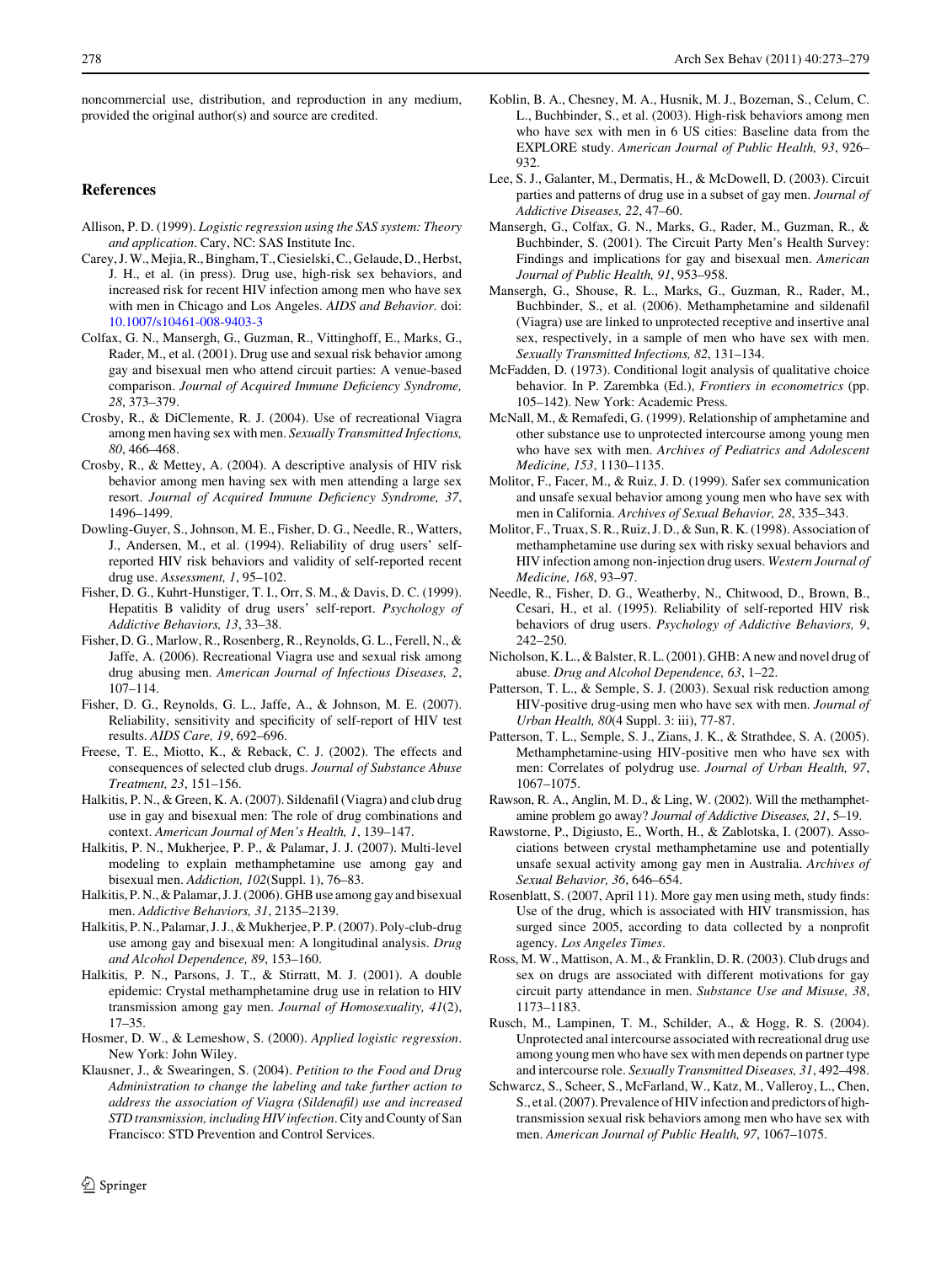<span id="page-5-0"></span>noncommercial use, distribution, and reproduction in any medium, provided the original author(s) and source are credited.

## References

- Allison, P. D. (1999). Logistic regression using the SAS system: Theory and application. Cary, NC: SAS Institute Inc.
- Carey, J. W., Mejia, R., Bingham, T., Ciesielski, C., Gelaude, D., Herbst, J. H., et al. (in press). Drug use, high-risk sex behaviors, and increased risk for recent HIV infection among men who have sex with men in Chicago and Los Angeles. AIDS and Behavior. doi: [10.1007/s10461-008-9403-3](http://dx.doi.org/10.1007/s10461-008-9403-3)
- Colfax, G. N., Mansergh, G., Guzman, R., Vittinghoff, E., Marks, G., Rader, M., et al. (2001). Drug use and sexual risk behavior among gay and bisexual men who attend circuit parties: A venue-based comparison. Journal of Acquired Immune Deficiency Syndrome, 28, 373–379.
- Crosby, R., & DiClemente, R. J. (2004). Use of recreational Viagra among men having sex with men. Sexually Transmitted Infections, 80, 466–468.
- Crosby, R., & Mettey, A. (2004). A descriptive analysis of HIV risk behavior among men having sex with men attending a large sex resort. Journal of Acquired Immune Deficiency Syndrome, 37, 1496–1499.
- Dowling-Guyer, S., Johnson, M. E., Fisher, D. G., Needle, R., Watters, J., Andersen, M., et al. (1994). Reliability of drug users' selfreported HIV risk behaviors and validity of self-reported recent drug use. Assessment, 1, 95-102.
- Fisher, D. G., Kuhrt-Hunstiger, T. I., Orr, S. M., & Davis, D. C. (1999). Hepatitis B validity of drug users' self-report. Psychology of Addictive Behaviors, 13, 33–38.
- Fisher, D. G., Marlow, R., Rosenberg, R., Reynolds, G. L., Ferell, N., & Jaffe, A. (2006). Recreational Viagra use and sexual risk among drug abusing men. American Journal of Infectious Diseases, 2, 107–114.
- Fisher, D. G., Reynolds, G. L., Jaffe, A., & Johnson, M. E. (2007). Reliability, sensitivity and specificity of self-report of HIV test results. AIDS Care, 19, 692–696.
- Freese, T. E., Miotto, K., & Reback, C. J. (2002). The effects and consequences of selected club drugs. Journal of Substance Abuse Treatment, 23, 151–156.
- Halkitis, P. N., & Green, K. A. (2007). Sildenafil (Viagra) and club drug use in gay and bisexual men: The role of drug combinations and context. American Journal of Men's Health, 1, 139–147.
- Halkitis, P. N., Mukherjee, P. P., & Palamar, J. J. (2007). Multi-level modeling to explain methamphetamine use among gay and bisexual men. Addiction, 102(Suppl. 1), 76–83.
- Halkitis, P. N., & Palamar, J. J. (2006). GHB use among gay and bisexual men. Addictive Behaviors, 31, 2135–2139.
- Halkitis, P. N., Palamar, J. J., & Mukherjee, P. P. (2007). Poly-club-drug use among gay and bisexual men: A longitudinal analysis. Drug and Alcohol Dependence, 89, 153–160.
- Halkitis, P. N., Parsons, J. T., & Stirratt, M. J. (2001). A double epidemic: Crystal methamphetamine drug use in relation to HIV transmission among gay men. Journal of Homosexuality, 41(2), 17–35.
- Hosmer, D. W., & Lemeshow, S. (2000). Applied logistic regression. New York: John Wiley.
- Klausner, J., & Swearingen, S. (2004). Petition to the Food and Drug Administration to change the labeling and take further action to address the association of Viagra (Sildenafil) use and increased STD transmission, including HIV infection. City and County of San Francisco: STD Prevention and Control Services.
- Koblin, B. A., Chesney, M. A., Husnik, M. J., Bozeman, S., Celum, C. L., Buchbinder, S., et al. (2003). High-risk behaviors among men who have sex with men in 6 US cities: Baseline data from the EXPLORE study. American Journal of Public Health, 93, 926– 932.
- Lee, S. J., Galanter, M., Dermatis, H., & McDowell, D. (2003). Circuit parties and patterns of drug use in a subset of gay men. Journal of Addictive Diseases, 22, 47–60.
- Mansergh, G., Colfax, G. N., Marks, G., Rader, M., Guzman, R., & Buchbinder, S. (2001). The Circuit Party Men's Health Survey: Findings and implications for gay and bisexual men. American Journal of Public Health, 91, 953–958.
- Mansergh, G., Shouse, R. L., Marks, G., Guzman, R., Rader, M., Buchbinder, S., et al. (2006). Methamphetamine and sildenafil (Viagra) use are linked to unprotected receptive and insertive anal sex, respectively, in a sample of men who have sex with men. Sexually Transmitted Infections, 82, 131–134.
- McFadden, D. (1973). Conditional logit analysis of qualitative choice behavior. In P. Zarembka (Ed.), Frontiers in econometrics (pp. 105–142). New York: Academic Press.
- McNall, M., & Remafedi, G. (1999). Relationship of amphetamine and other substance use to unprotected intercourse among young men who have sex with men. Archives of Pediatrics and Adolescent Medicine, 153, 1130–1135.
- Molitor, F., Facer, M., & Ruiz, J. D. (1999). Safer sex communication and unsafe sexual behavior among young men who have sex with men in California. Archives of Sexual Behavior, 28, 335–343.
- Molitor, F., Truax, S. R., Ruiz, J. D., & Sun, R. K. (1998). Association of methamphetamine use during sex with risky sexual behaviors and HIV infection among non-injection drug users. Western Journal of Medicine, 168, 93–97.
- Needle, R., Fisher, D. G., Weatherby, N., Chitwood, D., Brown, B., Cesari, H., et al. (1995). Reliability of self-reported HIV risk behaviors of drug users. Psychology of Addictive Behaviors, 9, 242–250.
- Nicholson, K. L., & Balster, R. L. (2001). GHB: A new and novel drug of abuse. Drug and Alcohol Dependence, 63, 1–22.
- Patterson, T. L., & Semple, S. J. (2003). Sexual risk reduction among HIV-positive drug-using men who have sex with men. Journal of Urban Health, 80(4 Suppl. 3: iii), 77-87.
- Patterson, T. L., Semple, S. J., Zians, J. K., & Strathdee, S. A. (2005). Methamphetamine-using HIV-positive men who have sex with men: Correlates of polydrug use. Journal of Urban Health, 97, 1067–1075.
- Rawson, R. A., Anglin, M. D., & Ling, W. (2002). Will the methamphetamine problem go away? Journal of Addictive Diseases, 21, 5–19.
- Rawstorne, P., Digiusto, E., Worth, H., & Zablotska, I. (2007). Associations between crystal methamphetamine use and potentially unsafe sexual activity among gay men in Australia. Archives of Sexual Behavior, 36, 646–654.
- Rosenblatt, S. (2007, April 11). More gay men using meth, study finds: Use of the drug, which is associated with HIV transmission, has surged since 2005, according to data collected by a nonprofit agency. Los Angeles Times.
- Ross, M. W., Mattison, A. M., & Franklin, D. R. (2003). Club drugs and sex on drugs are associated with different motivations for gay circuit party attendance in men. Substance Use and Misuse, 38, 1173–1183.
- Rusch, M., Lampinen, T. M., Schilder, A., & Hogg, R. S. (2004). Unprotected anal intercourse associated with recreational drug use among young men who have sex with men depends on partner type and intercourse role. Sexually Transmitted Diseases, 31, 492–498.
- Schwarcz, S., Scheer, S., McFarland, W., Katz, M., Valleroy, L., Chen, S., et al. (2007). Prevalence of HIV infection and predictors of hightransmission sexual risk behaviors among men who have sex with men. American Journal of Public Health, 97, 1067–1075.